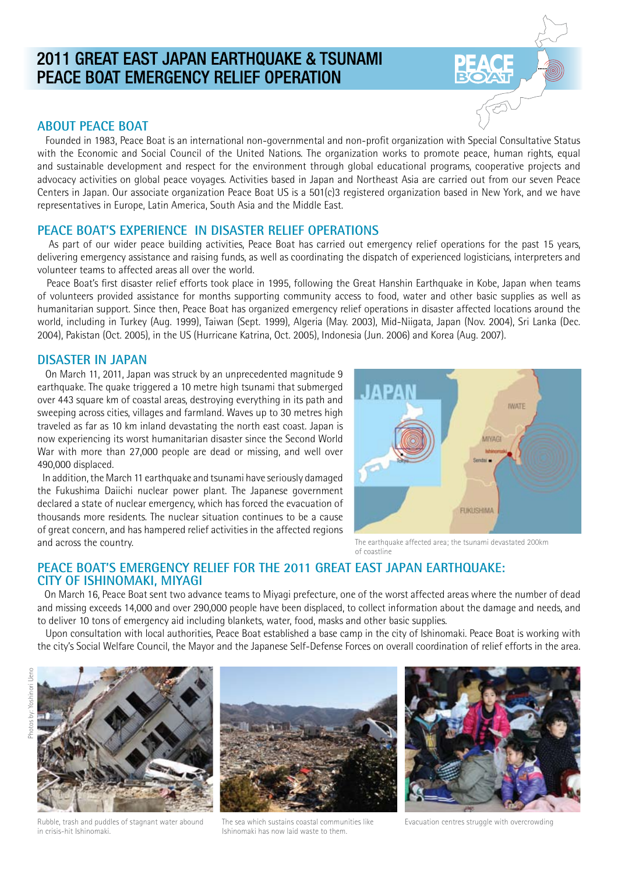# 2011 GREAT EAST JAPAN EARTHQUAKE & TSUNAMI PEACE BOAT EMERGENCY RELIEF OPERATION

## **ABOUT PEACE BOAT**

 Founded in 1983, Peace Boat is an international non-governmental and non-profit organization with Special Consultative Status with the Economic and Social Council of the United Nations. The organization works to promote peace, human rights, equal and sustainable development and respect for the environment through global educational programs, cooperative projects and advocacy activities on global peace voyages. Activities based in Japan and Northeast Asia are carried out from our seven Peace Centers in Japan. Our associate organization Peace Boat US is a 501(c)3 registered organization based in New York, and we have representatives in Europe, Latin America, South Asia and the Middle East.

# **PEACE BOAT'S EXPERIENCE IN DISASTER RELIEF OPERATIONS**

 As part of our wider peace building activities, Peace Boat has carried out emergency relief operations for the past 15 years, delivering emergency assistance and raising funds, as well as coordinating the dispatch of experienced logisticians, interpreters and volunteer teams to affected areas all over the world.

 Peace Boat's first disaster relief efforts took place in 1995, following the Great Hanshin Earthquake in Kobe, Japan when teams of volunteers provided assistance for months supporting community access to food, water and other basic supplies as well as humanitarian support. Since then, Peace Boat has organized emergency relief operations in disaster affected locations around the world, including in Turkey (Aug. 1999), Taiwan (Sept. 1999), Algeria (May. 2003), Mid-Niigata, Japan (Nov. 2004), Sri Lanka (Dec. 2004), Pakistan (Oct. 2005), in the US (Hurricane Katrina, Oct. 2005), Indonesia (Jun. 2006) and Korea (Aug. 2007).

#### **DISASTER IN JAPAN**

 On March 11, 2011, Japan was struck by an unprecedented magnitude 9 earthquake. The quake triggered a 10 metre high tsunami that submerged over 443 square km of coastal areas, destroying everything in its path and sweeping across cities, villages and farmland. Waves up to 30 metres high traveled as far as 10 km inland devastating the north east coast. Japan is now experiencing its worst humanitarian disaster since the Second World War with more than 27,000 people are dead or missing, and well over 490,000 displaced.

 In addition, the March 11 earthquake and tsunami have seriously damaged the Fukushima Daiichi nuclear power plant. The Japanese government declared a state of nuclear emergency, which has forced the evacuation of thousands more residents. The nuclear situation continues to be a cause of great concern, and has hampered relief activities in the affected regions and across the country.

**WATE** MIYAGI FUKUSHIMA

The earthquake affected area; the tsunami devastated 200km of coastline

# **PEACE BOAT'S EMERGENCY RELIEF FOR THE 2011 GREAT EAST JAPAN EARTHQUAKE: CITY OF ISHINOMAKI, MIYAGI**

 On March 16, Peace Boat sent two advance teams to Miyagi prefecture, one of the worst affected areas where the number of dead and missing exceeds 14,000 and over 290,000 people have been displaced, to collect information about the damage and needs, and to deliver 10 tons of emergency aid including blankets, water, food, masks and other basic supplies.

 Upon consultation with local authorities, Peace Boat established a base camp in the city of Ishinomaki. Peace Boat is working with the city's Social Welfare Council, the Mayor and the Japanese Self-Defense Forces on overall coordination of relief efforts in the area.



Rubble, trash and puddles of stagnant water abound in crisis-hit Ishinomaki.

The sea which sustains coastal communities like Ishinomaki has now laid waste to them.



Evacuation centres struggle with overcrowding